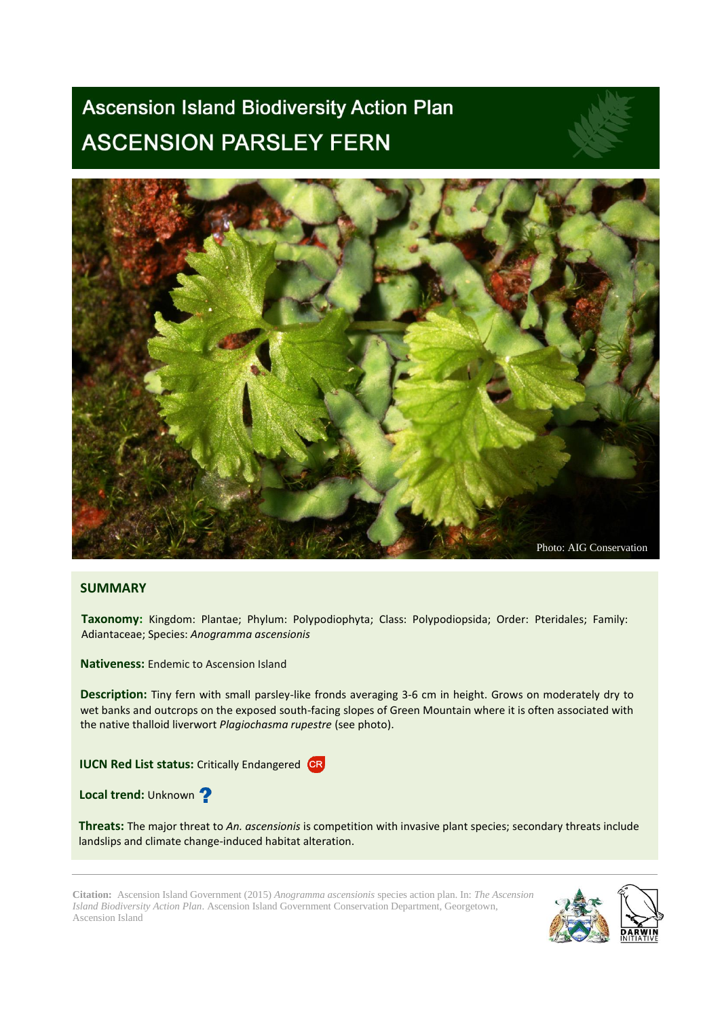# **Ascension Island Biodiversity Action Plan ASCENSION PARSLEY FERN**



# **SUMMARY**

**Taxonomy:** Kingdom: Plantae; Phylum: Polypodiophyta; Class: Polypodiopsida; Order: Pteridales; Family: Adiantaceae; Species: *Anogramma ascensionis*

**Nativeness:** Endemic to Ascension Island

**Description:** Tiny fern with small parsley-like fronds averaging 3-6 cm in height. Grows on moderately dry to wet banks and outcrops on the exposed south-facing slopes of Green Mountain where it is often associated with the native thalloid liverwort *Plagiochasma rupestre* (see photo).

**IUCN Red List status:** Critically Endangered CR

**Local trend: Unknown ?** 

**Threats:** The major threat to *An. ascensionis* is competition with invasive plant species; secondary threats include landslips and climate change-induced habitat alteration.

**Citation:** Ascension Island Government (2015) *Anogramma ascensionis* species action plan. In: *The Ascension Island Biodiversity Action Plan*. Ascension Island Government Conservation Department, Georgetown, Ascension Island

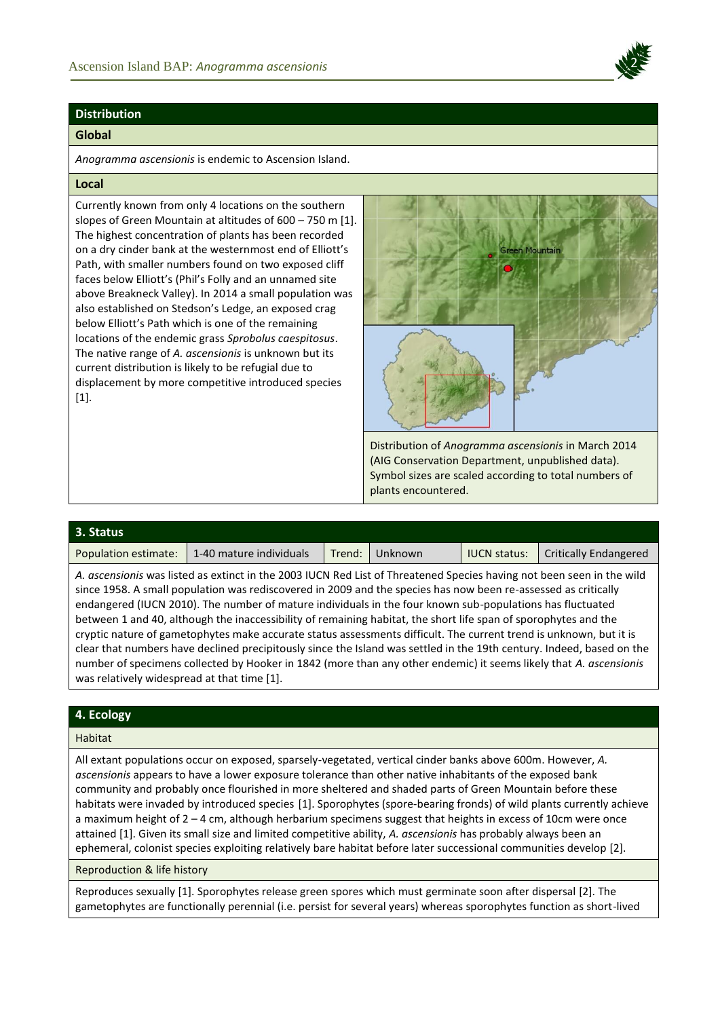

# **Distribution**

## **Global**

*Anogramma ascensionis* is endemic to Ascension Island.

## **Local**

Currently known from only 4 locations on the southern slopes of Green Mountain at altitudes of 600 – 750 m [1]. The highest concentration of plants has been recorded on a dry cinder bank at the westernmost end of Elliott's Path, with smaller numbers found on two exposed cliff faces below Elliott's (Phil's Folly and an unnamed site above Breakneck Valley). In 2014 a small population was also established on Stedson's Ledge, an exposed crag below Elliott's Path which is one of the remaining locations of the endemic grass *Sprobolus caespitosus*. The native range of *A. ascensionis* is unknown but its current distribution is likely to be refugial due to displacement by more competitive introduced species  $[1]$ .



Distribution of *Anogramma ascensionis* in March 2014 (AIG Conservation Department, unpublished data). Symbol sizes are scaled according to total numbers of plants encountered.

| 3. Status            |                         |        |         |                     |                              |
|----------------------|-------------------------|--------|---------|---------------------|------------------------------|
| Population estimate: | 1-40 mature individuals | Trend: | Unknown | <b>IUCN status:</b> | <b>Critically Endangered</b> |

*A. ascensionis* was listed as extinct in the 2003 IUCN Red List of Threatened Species having not been seen in the wild since 1958. A small population was rediscovered in 2009 and the species has now been re-assessed as critically endangered (IUCN 2010). The number of mature individuals in the four known sub-populations has fluctuated between 1 and 40, although the inaccessibility of remaining habitat, the short life span of sporophytes and the cryptic nature of gametophytes make accurate status assessments difficult. The current trend is unknown, but it is clear that numbers have declined precipitously since the Island was settled in the 19th century. Indeed, based on the number of specimens collected by Hooker in 1842 (more than any other endemic) it seems likely that *A. ascensionis* was relatively widespread at that time [1].

# **4. Ecology**

# Habitat

All extant populations occur on exposed, sparsely-vegetated, vertical cinder banks above 600m. However, *A. ascensionis* appears to have a lower exposure tolerance than other native inhabitants of the exposed bank community and probably once flourished in more sheltered and shaded parts of Green Mountain before these habitats were invaded by introduced species [1]. Sporophytes (spore-bearing fronds) of wild plants currently achieve a maximum height of 2 – 4 cm, although herbarium specimens suggest that heights in excess of 10cm were once attained [1]. Given its small size and limited competitive ability, *A. ascensionis* has probably always been an ephemeral, colonist species exploiting relatively bare habitat before later successional communities develop [2].

Reproduction & life history

Reproduces sexually [1]. Sporophytes release green spores which must germinate soon after dispersal [2]. The gametophytes are functionally perennial (i.e. persist for several years) whereas sporophytes function as short-lived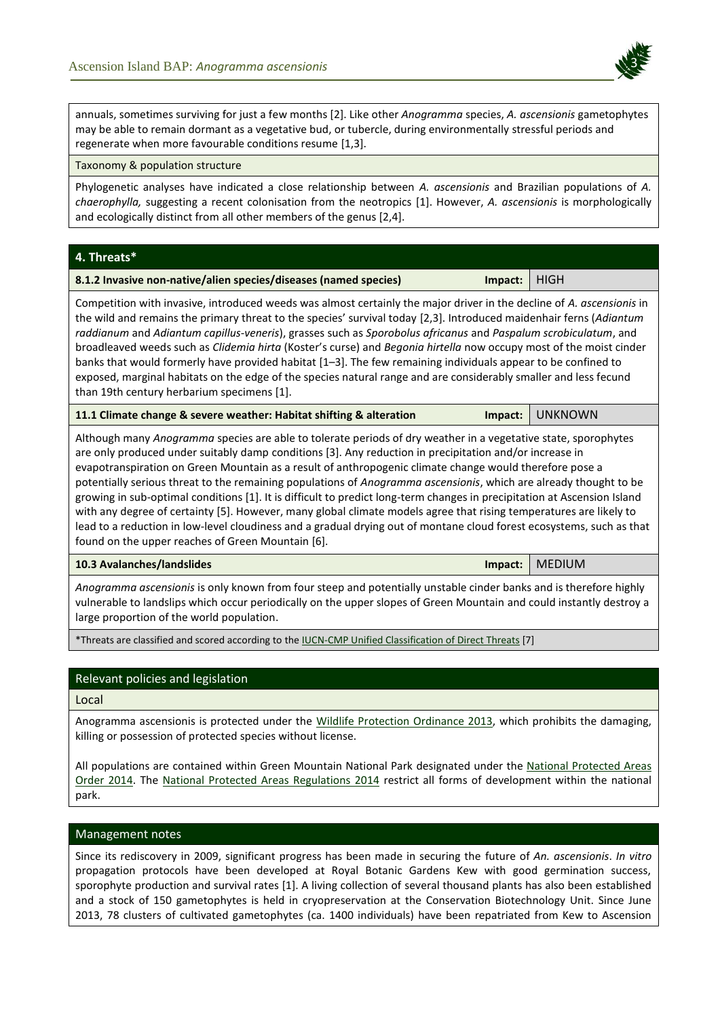

annuals, sometimes surviving for just a few months [2]. Like other *Anogramma* species, *A. ascensionis* gametophytes may be able to remain dormant as a vegetative bud, or tubercle, during environmentally stressful periods and regenerate when more favourable conditions resume [1,3].

#### Taxonomy & population structure

Phylogenetic analyses have indicated a close relationship between *A. ascensionis* and Brazilian populations of *A. chaerophylla,* suggesting a recent colonisation from the neotropics [1]. However, *A. ascensionis* is morphologically and ecologically distinct from all other members of the genus [2,4].

**4. Threats\***

| 8.1.2 Invasive non-native/alien species/diseases (named species) | Impact:   HIGH |  |
|------------------------------------------------------------------|----------------|--|
|------------------------------------------------------------------|----------------|--|

Competition with invasive, introduced weeds was almost certainly the major driver in the decline of *A. ascensionis* in the wild and remains the primary threat to the species' survival today [2,3]. Introduced maidenhair ferns (*Adiantum raddianum* and *Adiantum capillus-veneris*), grasses such as *Sporobolus africanus* and *Paspalum scrobiculatum*, and broadleaved weeds such as *Clidemia hirta* (Koster's curse) and *Begonia hirtella* now occupy most of the moist cinder banks that would formerly have provided habitat [1–3]. The few remaining individuals appear to be confined to exposed, marginal habitats on the edge of the species natural range and are considerably smaller and less fecund than 19th century herbarium specimens [1].

| 11.1 Climate change & severe weather: Habitat shifting & alteration |  | Impact: UNKNOWN |
|---------------------------------------------------------------------|--|-----------------|
|---------------------------------------------------------------------|--|-----------------|

Although many *Anogramma* species are able to tolerate periods of dry weather in a vegetative state, sporophytes are only produced under suitably damp conditions [3]. Any reduction in precipitation and/or increase in evapotranspiration on Green Mountain as a result of anthropogenic climate change would therefore pose a potentially serious threat to the remaining populations of *Anogramma ascensionis*, which are already thought to be growing in sub-optimal conditions [1]. It is difficult to predict long-term changes in precipitation at Ascension Island with any degree of certainty [5]. However, many global climate models agree that rising temperatures are likely to lead to a reduction in low-level cloudiness and a gradual drying out of montane cloud forest ecosystems, such as that found on the upper reaches of Green Mountain [6].

**10.3 Avalanches/landslides Impact:** MEDIUM

*Anogramma ascensionis* is only known from four steep and potentially unstable cinder banks and is therefore highly vulnerable to landslips which occur periodically on the upper slopes of Green Mountain and could instantly destroy a large proportion of the world population.

\*Threats are classified and scored according to th[e IUCN-CMP Unified Classification of Direct Threats](http://www.iucnredlist.org/technical-documents/classification-schemes/threats-classification-scheme) [7]

# Relevant policies and legislation

Local

Anogramma ascensionis is protected under the [Wildlife Protection Ordinance 2013,](http://www.ascension-island.gov.ac/wp-content/uploads/2013/04/ORD-6-2013-Wildlife-Protection-Ordinance-Asc.pdf) which prohibits the damaging, killing or possession of protected species without license.

All populations are contained within Green Mountain National Park designated under the [National Protected Areas](http://www.ascension-island.gov.ac/wp-content/uploads/2013/04/LN-5-National-Protected-Areas-Order-ASC.pdf)  [Order 2014.](http://www.ascension-island.gov.ac/wp-content/uploads/2013/04/LN-5-National-Protected-Areas-Order-ASC.pdf) The [National Protected Areas Regulations 2014](http://www.ascension-island.gov.ac/wp-content/uploads/2013/04/LN-6-Regulations-for-NATION-PROTECTED-AREAS-ASC.pdf) restrict all forms of development within the national park.

## Management notes

Since its rediscovery in 2009, significant progress has been made in securing the future of *An. ascensionis*. *In vitro* propagation protocols have been developed at Royal Botanic Gardens Kew with good germination success, sporophyte production and survival rates [1]. A living collection of several thousand plants has also been established and a stock of 150 gametophytes is held in cryopreservation at the Conservation Biotechnology Unit. Since June 2013, 78 clusters of cultivated gametophytes (ca. 1400 individuals) have been repatriated from Kew to Ascension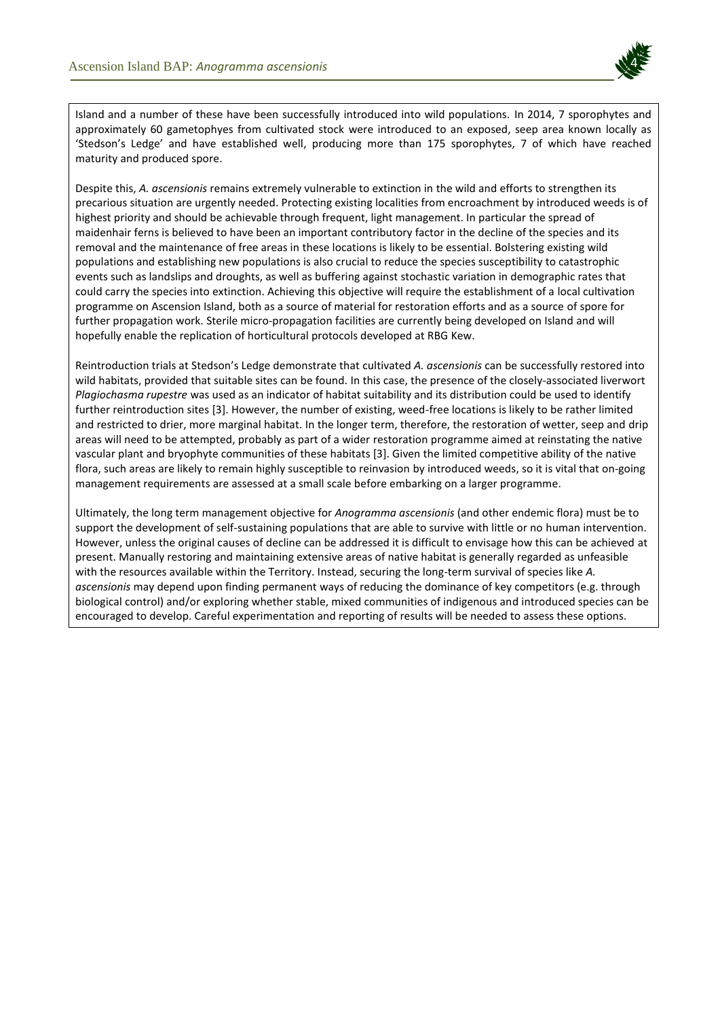

Island and a number of these have been successfully introduced into wild populations. In 2014, 7 sporophytes and approximately 60 gametophyes from cultivated stock were introduced to an exposed, seep area known locally as 'Stedson's Ledge' and have established well, producing more than 175 sporophytes, 7 of which have reached maturity and produced spore.

Despite this, *A. ascensionis* remains extremely vulnerable to extinction in the wild and efforts to strengthen its precarious situation are urgently needed. Protecting existing localities from encroachment by introduced weeds is of highest priority and should be achievable through frequent, light management. In particular the spread of maidenhair ferns is believed to have been an important contributory factor in the decline of the species and its removal and the maintenance of free areas in these locations is likely to be essential. Bolstering existing wild populations and establishing new populations is also crucial to reduce the species susceptibility to catastrophic events such as landslips and droughts, as well as buffering against stochastic variation in demographic rates that could carry the species into extinction. Achieving this objective will require the establishment of a local cultivation programme on Ascension Island, both as a source of material for restoration efforts and as a source of spore for further propagation work. Sterile micro-propagation facilities are currently being developed on Island and will hopefully enable the replication of horticultural protocols developed at RBG Kew.

Reintroduction trials at Stedson's Ledge demonstrate that cultivated *A. ascensionis* can be successfully restored into wild habitats, provided that suitable sites can be found. In this case, the presence of the closely-associated liverwort *Plagiochasma rupestre* was used as an indicator of habitat suitability and its distribution could be used to identify further reintroduction sites [3]. However, the number of existing, weed-free locations is likely to be rather limited and restricted to drier, more marginal habitat. In the longer term, therefore, the restoration of wetter, seep and drip areas will need to be attempted, probably as part of a wider restoration programme aimed at reinstating the native vascular plant and bryophyte communities of these habitats [3]. Given the limited competitive ability of the native flora, such areas are likely to remain highly susceptible to reinvasion by introduced weeds, so it is vital that on-going management requirements are assessed at a small scale before embarking on a larger programme.

Ultimately, the long term management objective for *Anogramma ascensionis* (and other endemic flora) must be to support the development of self-sustaining populations that are able to survive with little or no human intervention. However, unless the original causes of decline can be addressed it is difficult to envisage how this can be achieved at present. Manually restoring and maintaining extensive areas of native habitat is generally regarded as unfeasible with the resources available within the Territory. Instead, securing the long-term survival of species like *A. ascensionis* may depend upon finding permanent ways of reducing the dominance of key competitors (e.g. through biological control) and/or exploring whether stable, mixed communities of indigenous and introduced species can be encouraged to develop. Careful experimentation and reporting of results will be needed to assess these options.